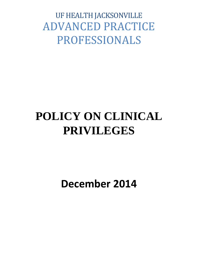UF HEALTH JACKSONVILLE ADVANCED PRACTICE PROFESSIONALS

# **POLICY ON CLINICAL PRIVILEGES**

**December 2014**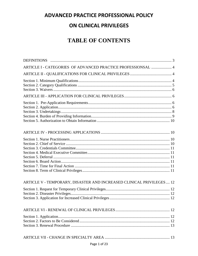ADVANCED PRACTICE PROFESSIONAL POLICY

# ON CLINICAL PRIVILEGES

# **TABLE OF CONTENTS**

| ARTICLE I - CATEGORIES OF ADVANCED PRACTICE PROFESSIONSAL  4         |  |
|----------------------------------------------------------------------|--|
|                                                                      |  |
|                                                                      |  |
|                                                                      |  |
|                                                                      |  |
|                                                                      |  |
|                                                                      |  |
| ARTICLE V - TEMPORARY, DISASTER AND INCREASED CLINICAL PRIVILEGES 12 |  |
|                                                                      |  |
|                                                                      |  |
|                                                                      |  |
|                                                                      |  |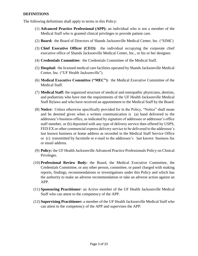#### **DEFINITIONS**

The following definitions shall apply to terms in this Policy:

- (1) **Advanced Practice Professional (APP):** an individual who is not a member of the Medical Staff who is granted clinical privileges to provide patient care.
- (2) **Board:** the Board of Directors of Shands Jacksonville Medical Center, Inc. ("SJMC)
- (3) **Chief Executive Officer (CEO):** the individual occupying the corporate chief executive office of Shands Jacksonville Medical Center, Inc., or his or her designee.
- (4) **Credentials Committee:** the Credentials Committee of the Medical Staff.
- (5) **Hospital:** the licensed medical care facilities operated by Shands Jacksonville Medical Center, Inc. ("UF Health Jacksonville").
- (6) **Medical Executive Committee ("MEC"):** the Medical Executive Committee of the Medical Staff.
- (7) **Medical Staff:** the organized structure of medical and osteopathic physicians, dentists, and podiatrists who have met the requirements of the UF Health Jacksonville Medical Staff Bylaws and who have received an appointment to the Medical Staff by the Board.
- (8) **Notice:** Unless otherwise specifically provided for in the Policy, "Notice" shall mean and be deemed given when a written communication is (a) hand delivered to the addressee's business office, as indicated by signature of addressee or addressee's office staff member, or (b) deposited with any type of delivery service then offered by USPS, FED EX or other commercial express delivery service to be delivered to the addressee's last known business or home address as recorded in the Medical Staff Service Office or (c) transmitted by facsimile or e-mail to the addressee's last known business fax or email address.
- (9) **Policy:** the UF Health Jacksonville Advanced Practice Professionals Policy on Clinical Privileges.
- (10) **Professional Review Body:** the Board, the Medical Executive Committee, the Credentials Committee, or any other person, committee, or panel charged with making reports, findings, recommendations or investigations under this Policy and which has the authority to make an adverse recommendation or take an adverse action against an APP.
- (11) **Sponsoring Practitioner**: an Active member of the UF Health Jacksonville Medical Staff who can attest to the competency of the APP.
- (12) **Supervising Practitioner:** a member of the UF Health Jacksonville Medical Staff who can attest to the competency of the APP and supervises the APP.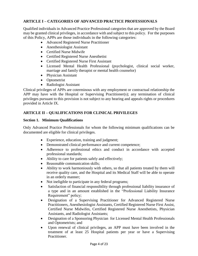# **ARTICLE I – CATEGORIES OF ADVANCED PRACTICE PROFESSIONALS**

Qualified individuals in Advanced Practice Professional categories that are approved by the Board may be granted clinical privileges, in accordance with and subject to this policy. For the purposes of this Policy, APPs are those individuals in the following categories:

- Advanced Registered Nurse Practitioner
- Anesthesiologist Assistant
- Certified Nurse Midwife
- Certified Registered Nurse Anesthetist
- Certified Registered Nurse First Assistant
- Licensed Mental Health Professional (psychologist, clinical social worker, marriage and family therapist or mental health counselor)
- Physician Assistant
- Optometrist
- Radiologist Assistant

Clinical privileges of APPs are coterminous with any employment or contractual relationship the APP may have with the Hospital or Supervising Practitioner(s); any termination of clinical privileges pursuant to this provision is not subject to any hearing and appeals rights or procedures provided in Article IX.

# **ARTICLE II – QUALIFICATIONS FOR CLINICAL PRIVILEGES**

#### **Section 1. Minimum Qualifications**

Only Advanced Practice Professionals for whom the following minimum qualifications can be documented are eligible for clinical privileges.

- Experience, education, training and judgment;
- Demonstrated clinical performance and current competence;
- Adherence to professional ethics and conduct in accordance with accepted professional standards;
- Ability to care for patients safely and effectively;
- Reasonable communication skills;
- Ability to work harmoniously with others, so that all patients treated by them will receive quality care, and the Hospital and its Medical Staff will be able to operate in an orderly manner;
- Not ineligible to participate in any federal programs;
- Satisfaction of financial responsibility through professional liability insurance of a type and in an amount established in the "Professional Liability Insurance Requirement" policy;
- Designation of a Supervising Practitioner for Advanced Registered Nurse Practitioners, Anesthesiologist Assistants, Certified Registered Nurse First Assist, Certified Nurse Midwifes, Certified Registered Nurse Anesthetists, Physician Assistants, and Radiologist Assistants;
- Designation of a Sponsoring Physician for Licensed Mental Health Professionals and Optometrists; and
- Upon renewal of clinical privileges, an APP must have been involved in the treatment of at least 25 Hospital patients per year or have a Supervising Practitioner.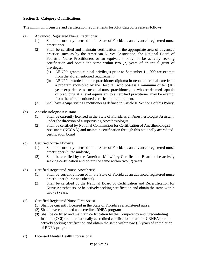#### **Section 2. Category Qualifications**

The minimum licensure and certification requirements for APP Categories are as follows:

- (a) Advanced Registered Nurse Practitioner
	- (1) Shall be currently licensed in the State of Florida as an advanced registered nurse practitioner.
	- (2) Shall be certified and maintain certification in the appropriate area of advanced practice, such as by the American Nurses Association, the National Board of Pediatric Nurse Practitioners or an equivalent body, or be actively seeking certification and obtain the same within two (2) years of an initial grant of privileges.
		- (a) ARNP's granted clinical privileges prior to September 1, 1999 are exempt from the aforementioned requirement.
		- (b) ARNP's awarded a nurse practitioner diploma in neonatal critical care from a program sponsored by the Hospital, who possess a minimum of ten (10) years experience as a neonatal nurse practitioner, and who are deemed capable of practicing at a level equivalent to a certified practitioner may be exempt from the aforementioned certification requirement.
	- (3) Shall have a Supervising Practitioner as defined in Article II, Section1 of this Policy.
- (b) Anesthesiologist Assistant
	- (1) Shall be currently licensed in the State of Florida as an Anesthesiologist Assistant under the direction of a supervising Anesthesiologist.
	- (2) Shall be certified by National Commission for Certification of Anesthesiologist Assistants (NCCAA) and maintain certification through this nationally accredited certification board
- (c) Certified Nurse Midwife
	- (1) Shall be currently licensed in the State of Florida as an advanced registered nurse practitioner (nurse midwife).
	- (2) Shall be certified by the American Midwifery Certification Board or be actively seeking certification and obtain the same within two (2) years.
- (d) Certified Registered Nurse Anesthetist
	- (1) Shall be currently licensed in the State of Florida as an advanced registered nurse practitioner (nurse anesthetist).
	- (2) Shall be certified by the National Board of Certification and Recertification for Nurse Anesthetists, or be actively seeking certification and obtain the same within two (2) years.
- (e) Certified Registered Nurse First Assist
	- (1) Shall be currently licensed in the State of Florida as a registered nurse.
	- (2) Shall have completed an accredited RNFA program
	- (3) Shall be certified and maintain certification by the Competency and Credentialing Institute (CCI) or other nationally accredited certification board for CRNFAs, or be actively seeking certification and obtain the same within two (2) years of completion of RNFA program.
- (f) Licensed Mental Health Professional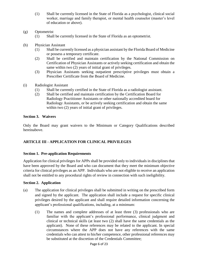- (1) Shall be currently licensed in the State of Florida as a psychologist, clinical social worker, marriage and family therapist, or mental health counselor (master's level of education or above).
- (g) Optometrist
	- (1) Shall be currently licensed in the State of Florida as an optometrist.
- (h) Physician Assistant
	- (1) Shall be currently licensed as a physician assistant by the Florida Board of Medicine or possess a temporary certificate.
	- (2) Shall be certified and maintain certification by the National Commission on Certification of Physician Assistants or actively seeking certification and obtain the same within two (2) years of initial grant of privileges.
	- (3) Physician Assistants seeking outpatient prescriptive privileges must obtain a Prescriber Certificate from the Board of Medicine.
- (i) Radiologist Assistant
	- (1) Shall be currently certified in the State of Florida as a radiologist assistant.
	- (2) Shall be certified and maintain certification by the Certification Board for Radiology Practitioner Assistants or other nationally accredited board for Radiology Assistants, or be actively seeking certification and obtain the same within two  $(2)$  years of initial grant of privileges.

# **Section 3. Waivers**

Only the Board may grant waivers to the Minimum or Category Qualifications described hereinabove.

# **ARTICLE III - APPLICATION FOR CLINICAL PRIVILEGES**

# **Section 1. Pre-application Requirements**

Application for clinical privileges for APPs shall be provided only to individuals in disciplines that have been approved by the Board and who can document that they meet the minimum objective criteria for clinical privileges as an APP. Individuals who are not eligible to receive an application shall not be entitled to any procedural rights of review in connection with such ineligibility.

# **Section 2. Application**

- (a) The application for clinical privileges shall be submitted in writing on the prescribed form and signed by the applicant. The application shall include a request for specific clinical privileges desired by the applicant and shall require detailed information concerning the applicant's professional qualifications, including, at a minimum:
	- (1) The names and complete addresses of at least three (3) professionals who are familiar with the applicant's professional performance, clinical judgment and clinical or technical skills (at least two (2) shall have the same credentials as the applicant). None of these references may be related to the applicant. In special circumstances where the APP does not have any references with the same credentials who can attest to his/her competence, other professional references may be substituted at the discretion of the Credentials Committee;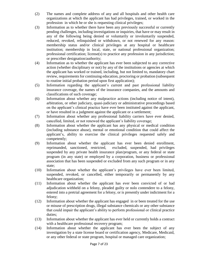- (2) The names and complete address of any and all hospitals and other health care organizations at which the applicant has had privileges, trained, or worked in the profession in which he or she is requesting clinical privileges;
- (3) Information as to whether there have been any previously successful or currently pending challenges, including investigations or inquiries, that have or may result in any of the following being denied or voluntarily or involuntarily suspended, reduced, revoked, relinquished or withdrawn, or not renewed for any reason: membership status and/or clinical privileges at any hospital or healthcare institution; membership in local, state, or national professional organization; professional certification; license(s) to practice any profession in any jurisdiction; or prescriber designation/authority;
- (4) Information as to whether the applicant has ever been subjected to any corrective action (whether disciplinary or not) by any of the institutions or agencies at which the applicant has worked or trained, including, but not limited to, mandatory chart review, requirements for continuing education, proctoring or probation (subsequent to routine initial probation period upon first application);
- (5) Information regarding the applicant's current and past professional liability insurance coverage, the names of the insurance companies, and the amounts and classifications of such coverage;
- (6) Information about whether any malpractice actions (including notice of intent), arbitration, or other judiciary, quasi-judiciary or administrative proceedings based on the applicant's clinical practice have ever been instituted against the applicant, or have resulted in a judgment against the applicant or a settlement;
- (7) Information about whether any professional liability carriers have ever denied, cancelled, limited, or not renewed the applicant's liability coverage;
- (8) Information about whether the applicant has any physical or medical condition (including substance abuse), mental or emotional condition that could affect the applicant's, ability to exercise the clinical privileges requested safely and competently;
- (9) Information about whether the applicant has ever been denied enrollment, reprimanded, sanctioned, restricted, excluded, suspended, had privileges suspended by any private health insurance plan/program, or any federal or state program (in any state) or employed by a corporation, business or professional association that has been suspended or excluded from any such program or in any state;
- (10) Information about whether the applicant's privileges have ever been limited, suspended, revoked, or cancelled, either temporarily or permanently by any healthcare organization;
- (11) Information about whether the applicant has ever been convicted of or had adjudication withheld on a felony, pleaded guilty or nolo contendere to a felony, entered into a pretrial agreement for a felony, or is presently under indictment for a felony;
- (12) Information about whether the applicant has engaged in or been treated for the use or misuse of prescription drugs, illegal substance chemicals or any other substance that could impair the applicant's ability to perform professional or clinical practice duties;
- (13) Information about whether the applicant has ever held or currently holds a contract with a healthcare professional recovery program;
- (14) Information about whether the applicant has ever been the subject of any investigation by a state license board or certification agency, Medicare, Medicaid, or any other federal or state program, hospital or managed care organization;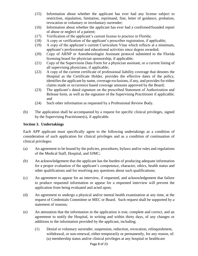- (15) Information about whether the applicant has ever had any license subject to restriction, stipulation, limitation, reprimand, fine, letter of guidance, probation, revocation or voluntary or involuntary surrender;
- (16) Information about whether the applicant has ever had a confirmed/founded report of abuse or neglect of a patient;
- (17) Verification of the applicant's current license to practice in Florida;
- (18) A copy or verification of the applicant's prescriber registration, if applicable;
- (19) A copy of the applicant's current Curriculum Vitae which reflects at a minimum, applicant's professional and educational activities since degree awarded;
- (20) Copy of ARNP or Anesthesiologist Assistant protocol submitted to the Florida licensing board for physician sponsorship, if applicable;
- (21) Copy of the Supervision Data Form for a physician assistant, or a current listing of all supervising physicians, if applicable;
- (22) A copy of the current certificate of professional liability coverage that denotes the Hospital as the Certificate Holder, provides the effective dates of the policy, identifies the applicant by name, coverage exclusions, if any, and provides for either claims made or occurrence based coverage amounts approved by the Board;
- (23) The applicant's dated signature on the prescribed Statement of Authorization and Release form, as well as the signature of the Supervising Practitioner if applicable; and
- (24) Such other information as requested by a Professional Review Body.
- (b) The application shall be accompanied by a request for specific clinical privileges, signed by the Supervising Practitioner(s), if applicable.

# **Section 3. Undertakings**

Each APP applicant must specifically agree to the following undertakings as a condition of consideration of such application for clinical privileges and as a condition of continuation of clinical privileges:

- (a) An agreement to be bound by the policies, procedures, bylaws and/or rules and regulations of the Medical Staff, Hospital, and SJMC;
- (b) An acknowledgement that the applicant has the burden of producing adequate information for a proper evaluation of the applicant's competence, character, ethics, health status and other qualifications and for resolving any questions about such qualifications;
- (c) An agreement to appear for an interview, if requested, and acknowledgement that failure to produce requested information or appear for a requested interview will prevent the application from being evaluated and acted upon;
- (d) An agreement to undergo a physical and/or mental health examination at any time, at the request of Credentials Committee or MEC or Board. Such request shall be supported by a statement of reasons;
- (e) An attestation that the information in the application is true, complete and correct, and an agreement to notify the Hospital, in writing and within thirty days, of any changes or additions to the information provided by the applicant, including;
	- (1) Denial or voluntary surrender, suspension, reduction, revocation, relinquishment, withdrawal, or non-renewal, either temporarily or permanently, for any reason, of: (a) membership status and/or clinical privileges at any hospital or healthcare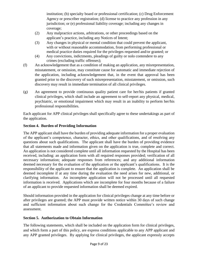institution; (b) specialty board or professional certification; (c) Drug Enforcement Agency or prescriber registration; (d) license to practice any profession in any jurisdiction; or (e) professional liability coverage; including any changes in coverage;

- (2) Any malpractice actions, arbitrations, or other proceedings based on the applicant's practice, including any Notices of Intent;
- (3) Any changes in physical or mental condition that could prevent the applicant, with or without reasonable accommodation, from performing professional or medical practice duties required for the privileges requested and/or granted; or
- (4) Any convictions, indictments, pleadings of guilty or nolo contendere to any crimes (excluding traffic offenses);
- (f) An acknowledgement that as a condition of making an application, any misrepresentation, misstatement, or omission, may constitute cause for automatic and immediate rejection of the application, including acknowledgement that, in the event that approval has been granted prior to the discovery of such misrepresentation, misstatement, or omission, such discovery may result in immediate termination of all clinical privileges.
- (g) An agreement to provide continuous quality patient care for her/his patients if granted clinical privileges, which shall include an agreement to self-report any physical, medical, psychiatric, or emotional impairment which may result in an inability to perform her/his professional responsibilities.

Each applicant for APP clinical privileges shall specifically agree to these undertakings as part of the application.

# **Section 4. Burden of Providing Information**

The APP applicant shall have the burden of providing adequate information for a proper evaluation of the applicant's competence, character, ethics, and other qualifications, and of resolving any questions about such qualifications. The applicant shall have the burden of providing evidence that all statements made and information given on the application is true, complete and correct. An application is not considered complete until all information requested by the Hospital has been received, including: an application form with all required responses provided; verification of all necessary information; adequate responses from references; and any additional information deemed necessary for the evaluation of the application or the applicant's qualifications. It is the responsibility of the applicant to ensure that the application is complete. An application shall be deemed incomplete if at any time during the evaluation the need arises for new, additional, or clarifying information. An incomplete application will not be processed until all requested information is received. Applications which are incomplete for four months because of a failure of an applicant to provide requested information shall be deemed expired.

Should information provided in the application for clinical privileges change at any time before or after privileges are granted; the APP must provide written notice within 30 days of such change and sufficient information about such change for the Credentials Committee's review and assessment.

# **Section 5. Authorization to Obtain Information**

The following statements, which shall be included on the application form for clinical privileges, and which form a part of this policy, are express conditions applicable to any APP applicant and any APP granted privileges. By applying for clinical privileges, the applicant expressly accepts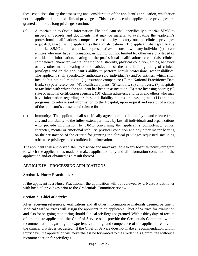these conditions during the processing and consideration of the applicant's application, whether or not the applicant is granted clinical privileges. This acceptance also applies once privileges are granted and for as long privileges continue.

- (a) Authorization to Obtain Information: The applicant shall specifically authorize SJMC to inspect all records and documents that may be material to evaluating the applicant's professional qualifications, competence and ability to carry out the clinical privileges requested, as well as the applicant's ethical qualifications. The applicant shall specifically authorize SJMC and its authorized representatives to consult with any individual(s) and/or entities who may have information, including, but not limited to, otherwise privileged or confidential information, bearing on the professional qualifications, credentials, clinical competence, character, mental or emotional stability, physical condition, ethics, behavior or any other matter bearing on the satisfaction of the criteria for granting of clinical privileges and on the applicant's ability to perform her/his professional responsibilities. The applicant shall specifically authorize said individual(s) and/or entities, which shall include but not be limited to: (1) insurance companies; (2) the National Practitioner Data Bank; (3) peer references; (4); health care plans; (5) schools; (6) employers; (7) hospitals or facilities with which the applicant has been in association; (8) state licensing boards; (9) state or national certification agencies; (10) claims adjusters, attorneys and others who may have information regarding professional liability claims or lawsuits; and (11) training programs, to release said information to the Hospital, upon request and receipt of a copy of the applicant's consent and release form.
- (b) Immunity: The applicant shall specifically agree to extend immunity to and release from any and all liability, to the fullest extent permitted by law, all individuals and organizations who provide information to SJMC concerning the applicant's competence, ethics, character, mental or emotional stability, physical condition and any other matter bearing on the satisfaction of the criteria for granting the clinical privileges requested, including otherwise privileged and confidential information.

The applicant shall authorize SJMC to disclose and make available to any hospital/facility/program to which the applicant has made or makes application, any and all information contained in the application and/or obtained as a result thereof.

# **ARTICLE IV – PROCESSING APPLICATIONS**

# **Section 1. Nurse Practitioners**

If the applicant is a Nurse Practitioner, the application will be reviewed by a Nurse Practitioner with hospital privileges prior to the Credentials Committee review.

#### **Section 2. Chief of Service**

After receiving references, verifications and all other information or materials deemed pertinent, Medical Staff Services will assign the applicant to an applicable Chief of Service for evaluation and also for on-going monitoring should clinical privileges be granted. Within thirty days of receipt of a complete application, the Chief of Service shall provide the Credentials Committee with a recommendation regarding the experience, training, and competence of the applicant, relative to the clinical privileges requested. If the Chief of Service does not make a recommendation within thirty days, the application will nevertheless be forwarded to the Credentials Committee without a recommendation for privileges.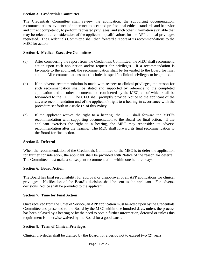#### **Section 3. Credentials Committee**

The Credentials Committee shall review the application, the supporting documentation, recommendations, evidence of adherence to accepted professional ethical standards and behavior and current competency to perform requested privileges, and such other information available that may be relevant to consideration of the applicant's qualifications for the APP clinical privileges requested. The Credentials Committee shall then forward a report of its recommendations to the MEC for action.

#### **Section 4. Medical Executive Committee**

- (a) After considering the report from the Credentials Committee, the MEC shall recommend action upon each application and/or request for privileges. If a recommendation is favorable to the applicant, the recommendation shall be forwarded to the Board for final action. All recommendations must include the specific clinical privileges to be granted.
- (b) If an adverse recommendation is made with respect to clinical privileges, the reason for such recommendation shall be stated and supported by reference to the completed application and all other documentation considered by the MEC, all of which shall be forwarded to the CEO. The CEO shall promptly provide Notice to the applicant of the adverse recommendation and of the applicant's right to a hearing in accordance with the procedure set forth in Article IX of this Policy.
- (c) If the applicant waives the right to a hearing, the CEO shall forward the MEC's recommendation with supporting documentation to the Board for final action. If the applicant exercises the right to a hearing, the MEC may reconsider its adverse recommendation after the hearing. The MEC shall forward its final recommendation to the Board for final action.

#### **Section 5. Deferral**

When the recommendation of the Credentials Committee or the MEC is to defer the application for further consideration, the applicant shall be provided with Notice of the reason for deferral. The Committee must make a subsequent recommendation within one hundred days.

#### **Section 6. Board Action**

The Board has final responsibility for approval or disapproval of all APP applications for clinical privileges. Notification of the Board's decision shall be sent to the applicant. For adverse decisions, Notice shall be provided to the applicant.

#### **Section 7. Time for Final Action**

Once received from the Chief of Service, an APP application must be acted upon by the Credentials Committee and presented to the Board by the MEC within one hundred days, unless the process has been delayed by a hearing or by the need to obtain further information, deferred or unless this requirement is otherwise waived by the Board for a good cause.

#### **Section 8. Term of Clinical Privileges**

Clinical privileges shall be granted by the Board, for a period not to exceed two (2) years.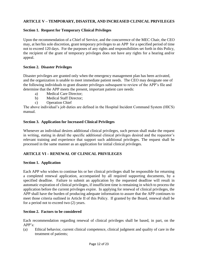# **ARTICLE V – TEMPORARY, DISASTER, AND INCREASED CLINICAL PRIVILEGES**

#### **Section 1. Request for Temporary Clinical Privileges**

Upon the recommendation of a Chief of Service, and the concurrence of the MEC Chair, the CEO may, at her/his sole discretion, grant temporary privileges to an APP for a specified period of time not to exceed 120 days. For the purposes of any rights and responsibilities set forth in this Policy, the recipient of the grant of temporary privileges does not have any rights for a hearing and/or appeal.

#### **Section 2. Disaster Privileges**

Disaster privileges are granted only when the emergency management plan has been activated, and the organization is unable to meet immediate patient needs. The CEO may designate one of the following individuals to grant disaster privileges subsequent to review of the APP's file and determine that the APP meets the present, important patient care needs:

- a) Medical Care Director;
- b) Medical Staff Director;
- c) Operation Chief

The above individual's job duties are defined in the Hospital Incident Command System (HICS) manual.

#### **Section 3. Application for Increased Clinical Privileges**

Whenever an individual desires additional clinical privileges, such person shall make the request in writing, stating in detail the specific additional clinical privileges desired and the requestor's relevant training and experience that support such additional privileges. The request shall be processed in the same manner as an application for initial clinical privileges.

#### **ARTICLE VI – RENEWAL OF CLINICAL PRIVILEGES**

#### **Section 1. Application**

Each APP who wishes to continue his or her clinical privileges shall be responsible for returning a completed renewal application, accompanied by all required supporting documents, by a specified deadline. Failure to submit an application by the requested deadline will result in automatic expiration of clinical privileges, if insufficient time is remaining in which to process the application before the current privileges expire. In applying for renewal of clinical privileges, the APP shall have the burden of producing adequate information to assure that the APP continues to meet those criteria outlined in Article II of this Policy. If granted by the Board, renewal shall be for a period not to exceed two (2) years.

#### **Section 2. Factors to be considered**

Each recommendation regarding renewal of clinical privileges shall be based, in part, on the APP's:

(a) Ethical behavior, current clinical competence, clinical judgment and quality of care in the treatment of patients;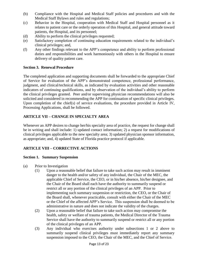- (b) Compliance with the Hospital and Medical Staff policies and procedures and with the Medical Staff Bylaws and rules and regulations;
- (c) Behavior in the Hospital, cooperation with Medical Staff and Hospital personnel as it relates to patient care or the orderly operation of this Hospital, and general attitude toward patients, the Hospital, and its personnel;
- (d) Ability to perform the clinical privileges requested;
- (e) Satisfactory completion of continuing education requirements related to the individual's clinical privileges; and,
- (f) Any other findings relevant to the APP's competence and ability to perform professional duties and responsibilities and work harmoniously with others in the Hospital to ensure delivery of quality patient care.

# **Section 3. Renewal Procedure**

The completed application and supporting documents shall be forwarded to the appropriate Chief of Service for evaluation of the APP's demonstrated competence, professional performance, judgment, and clinical/technical skills, as indicated by evaluation activities and other reasonable indicators of continuing qualifications, and by observation of the individual's ability to perform the clinical privileges granted. Peer and/or supervising physician recommendations will also be solicited and considered in recommending the APP for continuation of specific clinical privileges. Upon completion of the chief(s) of service evaluations, the procedure provided in Article IV, Processing Applications, shall be followed.

# **ARTICLE VII – CHANGE IN SPECIALTY AREA**

Whenever an APP desires to change her/his specialty area of practice, the request for change shall be in writing and shall include: 1) updated contact information; 2) a request for modifications of clinical privileges applicable to the new specialty area; 3) updated physician sponsor information, as appropriate; and, 4) updated State of Florida practice protocol if applicable.

# **ARTICLE VIII – CORRECTIVE ACTIONS**

# **Section 1. Summary Suspension**

- (a) Prior to Investigation
	- (1) Upon a reasonable belief that failure to take such action may result in imminent danger to the health and/or safety of any individual, the Chair of the MEC, the applicable Chief of Service, the CEO, or in his/her absence, his/her designee, and the Chair of the Board shall each have the authority to summarily suspend or restrict all or any portion of the clinical privileges of an APP. Prior to implementing such summary suspension or restriction, the CEO, or the Chair of the Board shall, whenever practicable, consult with either the Chair of the MEC or the Chief of the affected APP's Service. This suspension shall be deemed to be administrative in nature and does not indicate the validity of the charges.
	- (2) Upon a reasonable belief that failure to take such action may compromise the health, safety or welfare of trauma patients, the Medical Director of the Trauma Service shall have the authority to summarily suspend or restrict all or any portion of the clinical privileges of an APP.
	- (3) Any individual who exercises authority under subsections 1 or 2 above to summarily suspend clinical privileges must immediately report any summary suspension imposed to the CEO, the Chair of the MEC, and the Chief of Service.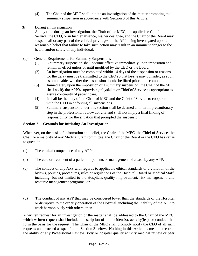(4) The Chair of the MEC shall initiate an investigation of the matter prompting the summary suspension in accordance with Section 3 of this Article.

# (b) During an Investigation

At any time during an investigation, the Chair of the MEC, the applicable Chief of Service, the CEO, or in his/her absence, his/her designee, and the Chair of the Board may suspend all or any part of the clinical privileges of the APP being investigated upon a reasonable belief that failure to take such action may result in an imminent danger to the health and/or safety of any individual.

- (c) General Requirements for Summary Suspensions
	- (1) A summary suspension shall become effective immediately upon imposition and remain in effect unless or until modified by the CEO or the Board.
	- (2) An investigation must be completed within 14 days of the suspension or reasons for the delay must be transmitted to the CEO so that he/she may consider, as soon as practicable, whether the suspension should be lifted prior to its completion.
	- (3) Immediately upon the imposition of a summary suspension, the Chair of the MEC shall notify the APP's supervising physician or Chief of Service as appropriate to assure continuity of patient care.
	- (4) It shall be the duty of the Chair of MEC and the Chief of Service to cooperate with the CEO in enforcing all suspensions.
	- (5) Summary suspension under this section shall be deemed an interim precautionary step in the professional review activity and shall not imply a final finding of responsibility for the situation that prompted the suspension.

# **Section 2. Grounds for Initiating An Investigation**

Whenever, on the basis of information and belief, the Chair of the MEC, the Chief of Service, the Chair or a majority of any Medical Staff committee, the Chair of the Board or the CEO has cause to question:

- (a) The clinical competence of any APP;
- (b) The care or treatment of a patient or patients or management of a case by any APP;
- (c) The conduct of any APP with regards to applicable ethical standards or a violation of the bylaws, policies, procedures, rules or regulations of the Hospital, Board or Medical Staff, including, but not limited to the Hospital's quality improvement, risk management, and resource management programs; or
- (d) The conduct of any APP that may be considered lower than the standards of the Hospital or disruptive to the orderly operation of the Hospital, including the inability of the APP to work harmoniously with others; then

A written request for an investigation of the matter shall be addressed to the Chair of the MEC, which written request shall include a description of the incident(s), activity(ies), or conduct that form the basis for the request. The Chair of the MEC shall promptly notify the CEO of all such requests and proceed as specified in Section 3 below. Nothing in this Article is meant to restrict the ability of any Professional Review Body or hospital quality activity medical review or peer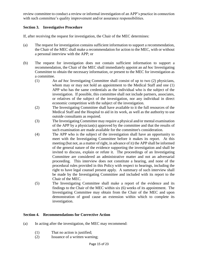review committee to conduct a review or informal investigation of an APP's practice in connection with such committee's quality improvement and/or assurance responsibilities.

# **Section 3. Investigative Procedure**

If, after receiving the request for investigation, the Chair of the MEC determines:

- (a) The request for investigation contains sufficient information to support a recommendation, the Chair of the MEC shall make a recommendation for action to the MEC, with or without a personal interview with the APP; or
- (b) The request for investigation does not contain sufficient information to support a recommendation, the Chair of the MEC shall immediately appoint an *ad hoc* Investigating Committee to obtain the necessary information, or present to the MEC for investigation as a committee.
	- (1) An *ad hoc* Investigating Committee shall consist of up to two (2) physicians, whom may or may not hold an appointment to the Medical Staff and one (1) APP who has the same credentials as the individual who is the subject of the investigation. If possible, this committee shall not include partners, associates, or relatives of the subject of the investigation, nor any individual in direct economic competition with the subject of the investigation.
	- (2) The Investigating Committee shall have available to it the full resources of the Medical Staff and the Hospital to aid in its work, as well as the authority to use outside consultants as required.
	- (3) The Investigating Committee may require a physical and/or mental examination of the APP by a physician(s) approved by the committee and that the results of such examination are made available for the committee's consideration.
	- (4) The APP who is the subject of the investigation shall have an opportunity to meet with the Investigating Committee before it makes its report. At this meeting (but not, as a matter of right, in advance of it) the APP shall be informed of the general nature of the evidence supporting the investigation and shall be invited to discuss, explain or refute it. The proceedings of an Investigating Committee are considered an administrative matter and not an adversarial proceeding. This interview does not constitute a hearing, and none of the procedural rules provided in this Policy with respect to hearings, including the right to have legal counsel present apply. A summary of such interview shall be made by the Investigating Committee and included with its report to the Chair of the MEC.
	- (5) The Investigating Committee shall make a report of the evidence and its findings to the Chair of the MEC within six (6) weeks of its appointment. The Investigating Committee may obtain from the Chair of the MEC and upon demonstration of good cause an extension within which to complete its investigation.

# **Section 4. Recommendations for Corrective Action**

- (a) In acting after the investigation, the MEC may recommend:
	- (1) That no action is justified;
	- (2) Issuance of a written warning;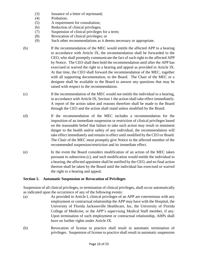- (3) Issuance of a letter of reprimand;
- (4) Probation;
- (5) A requirement for consultation;
- (6) Reduction of clinical privileges;
- (7) Suspension of clinical privileges for a term;
- (8) Revocation of clinical privileges; or
- (9) Such other recommendations as it deems necessary or appropriate.
- (b) If the recommendation of the MEC would entitle the affected APP to a hearing in accordance with Article IX, the recommendation shall be forwarded to the CEO, who shall promptly communicate the fact of such right to the affected APP by Notice. The CEO shall then hold the recommendation until after the APP has exercised or waived the right to a hearing and appeal as provided in Article IX. At that time, the CEO shall forward the recommendation of the MEC, together with all supporting documentation, to the Board. The Chair of the MEC or a designee shall be available to the Board to answer any questions that may be raised with respect to the recommendation.
- (c) If the recommendation of the MEC would not entitle the individual to a hearing, in accordance with Article IX, Section 1 the action shall take effect immediately. A report of the action taken and reasons therefore shall be made to the Board through the CEO and the action shall stand unless modified by the Board.
- (d) If the recommendation of the MEC includes a recommendation for the imposition of an immediate suspension or restriction of clinical privileges based on the reasonable belief that failure to take such action may result in imminent danger to the health and/or safety of any individual, the recommendation will take effect immediately and remain in effect until modified by the CEO or Board. The Chair of the MEC must promptly give Notice to the affected member of the recommended suspension/restriction and its immediate effect.
- (e) In the event the Board considers modification of an action of the MEC taken pursuant to subsection (c), and such modification would entitle the individual to a hearing, the affected appointee shall be notified by the CEO, and no final action thereon shall be taken by the Board until the individual has exercised or waived the right to a hearing and appeal.

# **Section 5. Automatic Suspension or Revocation of Privileges**

Suspension of all clinical privileges, or termination of clinical privileges, shall occur automatically as indicated upon the occurrence of any of the following events:

- (a) As provided in Article I, clinical privileges of an APP are coterminous with any employment or contractual relationship the APP may have with the Hospital, the University of Florida Jacksonville Healthcare, Inc, the University of Florida College of Medicine, or the APP's supervising Medical Staff member, if any. Upon termination of such employment or contractual relationship, AHPs shall have no further rights under Article IX.
- (b) Revocation of license to practice shall result in automatic termination of privileges. Suspension of license to practice shall result in automatic suspension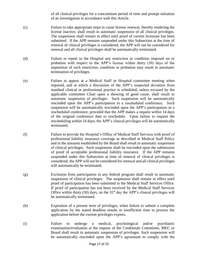of all clinical privileges for a concomitant period of time and prompt initiation of an investigation in accordance with this Article.

- (c) Failure to take appropriate steps to cause license renewal, thereby rendering the license inactive, shall result in automatic suspension of all clinical privileges. The suspension shall remain in effect until proof of current licensure has been submitted. If the APP remains suspended under this Subsection at the time of renewal of clinical privileges is considered, the APP will not be considered for renewal and all clinical privileges shall be automatically terminated.
- (d) Failure to report to the Hospital any restriction or condition imposed on or probation with respect to the APP's license within thirty (30) days of the imposition of such restriction, condition or probation may result in automatic termination of privileges.
- (e) Failure to appear at a Medical Staff or Hospital committee meeting when required, and at which a discussion of the APP's suspected deviation from standard clinical or professional practice is scheduled, unless excused by the applicable committee Chair upon a showing of good cause, shall result in automatic suspension of privileges. Such suspension will be automatically rescinded upon the APP's participation in a rescheduled conference. Such suspension will be automatically rescinded upon the APP's participation in a rescheduled conference; provided that the APP makes a request within 14 days of the original conference date to reschedule. Upon failure to request the rescheduling within 14 days, the APP's clinical privileges will be automatically terminated.
- (f) Failure to provide the Hospital's Office of Medical Staff Services with proof of professional liability insurance coverage as described in Medical Staff Policy and in the amounts established by the Board shall result in automatic suspension of clinical privileges. Such suspension shall be rescinded upon the submission of proof of acceptable professional liability insurance. If the APP remains suspended under this Subsection at time of renewal of clinical privileges is considered, the APP will not be considered for renewal and all clinical privileges will automatically be terminated.
- (g) Exclusion from participation in any federal program shall result in automatic suspension of clinical privileges. The suspension shall remain in effect until proof of participation has been submitted to the Medical Staff Services Office. If proof of participation has not been received by the Medical Staff Services Office within thirty (30) days, on the  $31<sup>st</sup>$  day the APP's clinical privileges will be automatically terminated.
- (h) Expiration of a present term of privileges, when failure to submit a complete application by the stated deadline results in insufficient time to process the application before the current privileges expires.
- (i) Failure to undergo a medical, psychological and/or psychiatric examination/evaluation at the request of the Credentials Committee, MEC or Board shall result in automatic suspension of privileges. Such suspension will be automatically rescinded upon the APP's agreement to comply with the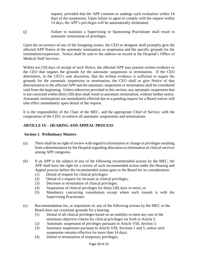request; provided that the APP commits to undergo such evaluation within 14 days of the suspension. Upon failure to agree to comply with the request within 14 days, the APP's privileges will be automatically terminated.

(j) Failure to maintain a Supervising or Sponsoring Practitioner shall result in automatic termination of privileges.

Upon the occurrence of any of the foregoing events, the CEO or designee shall promptly give the affected APP Notice of the automatic termination or suspension and the specific grounds for the termination/suspension. Notice shall be sent to the address on record at the Hospital's Office of Medical Staff Services.

Within ten (10) days of receipt of such Notice, the affected APP may present written evidence to the CEO that negates the grounds for the automatic suspension or termination. If the CEO determines, in the CEO's sole discretion, that the written evidence is sufficient to negate the grounds for the automatic suspension or termination, the CEO shall so give Notice of that determination to the affected APP and the automatic suspension or termination shall be considered void from the beginning. Unless otherwise provided in this section, any automatic suspension that is not corrected within thirty (30) days shall result in automatic termination, without further notice. Automatic terminations not immediately effected due to a pending request for a Board waiver will take effect immediately upon denial of the request.

It is the responsibility of the Chair of the MEC, and the appropriate Chief of Service, with the cooperation of the CEO, to enforce all automatic suspensions and terminations.

# **ARTICLE IX – HEARING AND APPEAL PROCESS**

# **Section 1. Preliminary Matters**

- (a) There shall be no right of review with regard to elimination or change in privileges resulting from a determination by the Hospital regarding allocation or elimination of clinical services among APP categories.
- (b) If an APP is the subject of any of the following recommended actions by the MEC, the APP shall have the right for a review of such recommended action under the Hearing and Appeal process before the recommended action goes to the Board for its consideration:
	- (1) Denial of request for clinical privileges;
	- (2) Denial of a request for increase in clinical privileges;
	- (3) Decrease or termination of clinical privileges;
	- (4) Suspension of clinical privileges for thirty (30) days or more; or
	- (5) Mandatory concurring consultation except where such consult is with the Supervising Practitioner.
- (c) Recommendation for, or imposition of, any of the following actions by the MEC or the Board does not constitute grounds for a hearing:
	- (1) Denial of all clinical privileges based on an inability to meet any one of the minimum objective criteria for clinical privileges set forth in Article I;
	- (2) Automatic suspension of privileges pursuant to Article VIII, Section 5;
	- (3) Summary suspension pursuant to Article VIII, Sections 1 and 5, unless such suspension remains effective for more than 14 days;
	- (4) Denial or termination of temporary privileges;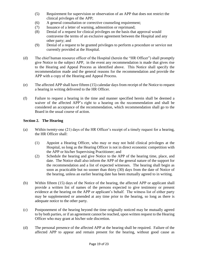- (5) Requirement for supervision or observation of an APP that does not restrict the clinical privileges of the APP;
- (6) A general consultation or corrective counseling requirement;
- (7) Issuance of a letter of warning, admonition or reprimand;
- (8) Denial of a request for clinical privileges on the basis that approval would contravene the terms of an exclusive agreement between the Hospital and any other party; and
- (9) Denial of a request to be granted privileges to perform a procedure or service not currently provided at the Hospital.
- (d) The chief human resource officer of the Hospital (herein the "HR Officer") shall promptly give Notice to the subject APP, in the event any recommendation is made that gives rise to the Hearing and Appeal Process as identified above. This Notice shall specify the recommendation made and the general reasons for the recommendation and provide the APP with a copy of the Hearing and Appeal Process.
- (e) The affected APP shall have fifteen (15) calendar days from receipt of the Notice to request a hearing in writing delivered to the HR Officer.
- (f) Failure to request a hearing in the time and manner specified herein shall be deemed a waiver of the affected APP's right to a hearing on the recommendation and shall be considered an acceptance of the recommendation, which recommendation shall go to the Board in the usual course of action.

# **Section 2. The Hearing**

- (a) Within twenty-one (21) days of the HR Officer's receipt of a timely request for a hearing, the HR Officer shall:
	- (1) Appoint a Hearing Officer, who may or may not hold clinical privileges at the Hospital, so long as the Hearing Officer is not in direct economic competition with the APP or his/her Supervising Practitioner; and
	- (2) Schedule the hearing and give Notice to the APP of the hearing time, place, and date. The Notice shall also inform the APP of the general nature of the support for the recommendation and a list of expected witnesses. The hearing shall begin as soon as practicable but no sooner than thirty (30) days from the date of Notice of the hearing, unless an earlier hearing date has been mutually agreed to in writing.
- (b) Within fifteen (15) days of the Notice of the hearing, the affected APP or applicant shall provide a written list of names of the persons expected to give testimony or present evidence at the hearing on the APP or applicant's behalf. The witness list of either party may be supplemented or amended at any time prior to the hearing, so long as there is adequate notice to the other party.
- (c) Postponement of the hearing beyond the time originally noticed may be mutually agreed to by both parties, or if an agreement cannot be reached, upon written request to the Hearing Officer who may grant at his/her sole discretion.
- (d) The personal presence of the affected APP at the hearing shall be required. Failure of the affected APP to appear and remain present for the hearing, without good cause as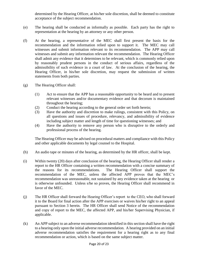determined by the Hearing Officer, at his/her sole discretion, shall be deemed to constitute acceptance of the subject recommendation.

- (e) The hearing shall be conducted as informally as possible. Each party has the right to representation at the hearing by an attorney or any other person.
- (f) At the hearing, a representative of the MEC shall first present the basis for the recommendation and the information relied upon to support it. The MEC may call witnesses and submit information relevant to its recommendation. The APP may call witnesses and submit any information relevant the recommendation. The Hearing Officer shall admit any evidence that it determines to be relevant, which is commonly relied upon by reasonably prudent persons in the conduct of serious affairs, regardless of the admissibility of such evidence in a court of law. At the conclusion of the hearing, the Hearing Officer, in his/her sole discretion, may request the submission of written statements from both parties.
- (g) The Hearing Officer shall:
	- (1) Act to ensure that the APP has a reasonable opportunity to be heard and to present relevant witnesses and/or documentary evidence and that decorum is maintained throughout the hearing;
	- (2) Conduct the hearing according to the general order set forth herein;
	- (3) Have the authority and discretion to make rulings, consistent with this Policy, on all questions and issues of procedure, relevancy, and admissibility of evidence including subject matter and length of time for questioning witnesses; and
	- (4) Have the authority to remove any person who is disruptive to the orderly and professional process of the hearing.

The Hearing Officer may be advised on procedural matters and compliance with this Policy and other applicable documents by legal counsel to the Hospital.

- (h) An audio tape or minutes of the hearing, as determined by the HR officer, shall be kept.
- (i) Within twenty (20) days after conclusion of the hearing, the Hearing Officer shall render a report to the HR Officer containing a written recommendation with a concise summary of the reasons for its recommendations. The Hearing Officer shall support the recommendation of the MEC, unless the affected APP proves that the MEC's recommendation was unreasonable, not sustained by any evidence taken at the hearing or is otherwise unfounded. Unless s/he so proves, the Hearing Officer shall recommend in favor of the MEC.
- (j) The HR Officer shall forward the Hearing Officer's report to the CEO, who shall forward it to the Board for final action after the APP exercises or waives his/her right to an appeal pursuant to Section 3 herein. The HR Officer shall send Notice of the recommendation and copy of report to the MEC, the affected APP, and his/her Supervising Physician, if applicable.
- (k) An APP subject to an adverse recommendation identified in this section shall have the right to a hearing only upon the initial adverse recommendation. A hearing provided on an initial adverse recommendation satisfies the requirement for a hearing right as to any final recommendation or action, which is based on the same subject matter.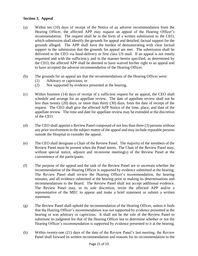#### **Section 3. Appeal**

- (a) Within ten (10) days of receipt of the Notice of an adverse recommendation from the Hearing Officer, the affected APP may request an appeal of the Hearing Officer's recommendation. The request shall be in the form of a written submission to the CEO, which submission shall identify the grounds for appeal and detailed, factual support for the grounds alleged. The APP shall have the burden of demonstrating with clear factual support in the submission that the grounds for appeal are met. The submission shall be delivered to the CEO via hand-delivery or first class US mail. If an appeal is not timely requested and with the sufficiency and in the manner herein specified, as determined by the CEO, the affected APP shall be deemed to have waived his/her right to an appeal and to have accepted the adverse recommendation of the Hearing Officer.
- (b) The grounds for an appeal are that the recommendations of the Hearing Officer were:
	- (1) Arbitrary or capricious; or
	- (2) Not supported by evidence presented at the hearing.
- (c) Within fourteen (14) days of receipt of a sufficient request for an appeal, the CEO shall schedule and arrange for an appellate review. The date of appellate review shall not be less than twenty (20) days, or more than thirty (30) days, from the date of receipt of the request. The CEO shall give the affected APP Notice of the time, place, and date of the appellate review. The time and date for appellate review may be extended at the discretion of the CEO.
- (d) The CEO shall appoint a Review Panel composed of not less than three (3) persons without any prior involvement in the subject matter of the appeal and may include reputable persons outside the Hospital to consider the appeal.
- (e) The CEO shall designate a Chair of the Review Panel. The majority of the members of the Review Panel must be present when the Panel meets. The Chair of the Review Panel may, without special notice, adjourn and reconvene meeting(s) of the Review Panel at the convenience of the participants.
- (f) The purpose of the appeal and the task of the Review Panel are to ascertain whether the recommendation of the Hearing Officer is supported by evidence submitted at the hearing. The Review Panel shall review the Hearing Officer's recommendation, the hearing minutes, and all evidence submitted at the hearing prior to making its determinations and recommendations to the Board. The Review Panel shall not accept additional evidence. The Review Panel may, in its sole discretion, invite the affected APP and/or a representative of the MEC to appear and make a brief statement or submit a written statement.
- (g) The Review Panel shall uphold the recommendation of the Hearing Officer, unless it finds that the Hearing Officer's recommendation was not supported by evidence presented at the hearing or was arbitrary or capricious. It shall not be the role of the Review Panel to substitute its judgment for that of the Hearing Officer but to determine whether or not the Hearing Officer's recommendation is supported by evidence presented to it at the hearing.
- (h) Within twenty-one (21) days of the date of the Review Panel's last meeting, the Review Panel shall forward its written recommendation and reasons for its recommendation to the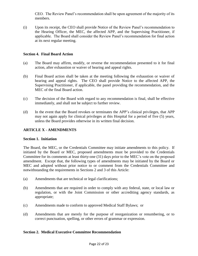CEO. The Review Panel's recommendation shall be upon agreement of the majority of its members.

(i) Upon its receipt, the CEO shall provide Notice of the Review Panel's recommendation to the Hearing Officer, the MEC, the affected APP, and the Supervising Practitioner, if applicable. The Board shall consider the Review Panel's recommendation for final action at its next regular meeting.

#### **Section 4. Final Board Action**

- (a) The Board may affirm, modify, or reverse the recommendation presented to it for final action, after exhaustion or waiver of hearing and appeal rights.
- (b) Final Board action shall be taken at the meeting following the exhaustion or waiver of hearing and appeal rights. The CEO shall provide Notice to the affected APP, the Supervising Practitioner, if applicable, the panel providing the recommendation, and the MEC of the final Board action.
- (c) The decision of the Board with regard to any recommendation is final, shall be effective immediately, and shall not be subject to further review.
- (d) In the event that the Board revokes or terminates the APP's clinical privileges, that APP may not again apply for clinical privileges at this Hospital for a period of five (5) years, unless the Board provides otherwise in its written final decision.

# **ARTICLE X - AMENDMENTS**

#### **Section 1. Initiation**

The Board, the MEC, or the Credentials Committee may initiate amendments to this policy. If initiated by the Board or MEC, proposed amendments must be provided to the Credentials Committee for its comments at least thirty-one (31) days prior to the MEC's vote on the proposed amendment. Except that, the following types of amendments may be initiated by the Board or MEC and adopted without prior notice to or comment from the Credentials Committee and notwithstanding the requirements in Sections 2 and 3 of this Article:

- (a) Amendments that are technical or legal clarifications;
- (b) Amendments that are required in order to comply with any federal, state, or local law or regulation, or with the Joint Commission or other accrediting agency standards, as appropriate;
- (c) Amendments made to conform to approved Medical Staff Bylaws; or
- (d) Amendments that are merely for the purpose of reorganization or renumbering, or to correct punctuation, spelling, or other errors of grammar or expression.

#### **Section 2. Medical Executive Committee Recommendation**